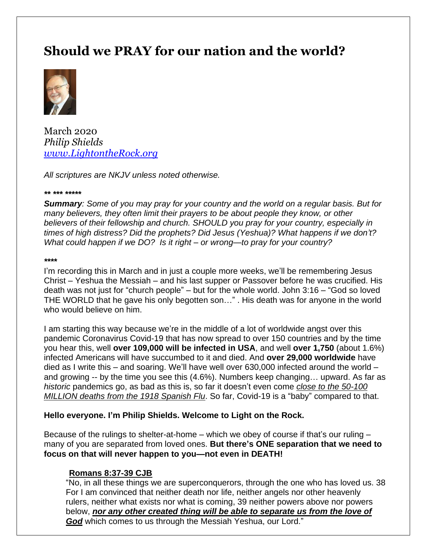# **Should we PRAY for our nation and the world?**



March 2020 *Philip Shields [www.LightontheRock.org](http://www.lightontherock.org/)*

*All scriptures are NKJV unless noted otherwise.* 

#### *\*\* \*\*\* \*\*\*\*\**

*Summary: Some of you may pray for your country and the world on a regular basis. But for many believers, they often limit their prayers to be about people they know, or other believers of their fellowship and church. SHOULD you pray for your country, especially in times of high distress? Did the prophets? Did Jesus (Yeshua)? What happens if we don't? What could happen if we DO? Is it right – or wrong—to pray for your country?* 

#### *\*\*\*\**

I'm recording this in March and in just a couple more weeks, we'll be remembering Jesus Christ – Yeshua the Messiah – and his last supper or Passover before he was crucified. His death was not just for "church people" – but for the whole world. John 3:16 – "God so loved THE WORLD that he gave his only begotten son…" . His death was for anyone in the world who would believe on him.

I am starting this way because we're in the middle of a lot of worldwide angst over this pandemic Coronavirus Covid-19 that has now spread to over 150 countries and by the time you hear this, well **over 109,000 will be infected in USA**, and well **over 1,750** (about 1.6%) infected Americans will have succumbed to it and died. And **over 29,000 worldwide** have died as I write this – and soaring. We'll have well over 630,000 infected around the world – and growing -- by the time you see this (4.6%). Numbers keep changing… upward. As far as *historic* pandemics go, as bad as this is, so far it doesn't even come *close to the 50-100 MILLION deaths from the 1918 Spanish Flu*. So far, Covid-19 is a "baby" compared to that.

#### **Hello everyone. I'm Philip Shields. Welcome to Light on the Rock.**

Because of the rulings to shelter-at-home – which we obey of course if that's our ruling – many of you are separated from loved ones. **But there's ONE separation that we need to focus on that will never happen to you—not even in DEATH!**

#### **Romans 8:37-39 CJB**

"No, in all these things we are superconquerors, through the one who has loved us. 38 For I am convinced that neither death nor life, neither angels nor other heavenly rulers, neither what exists nor what is coming, 39 neither powers above nor powers below, *nor any other created thing will be able to separate us from the love of God* which comes to us through the Messiah Yeshua, our Lord."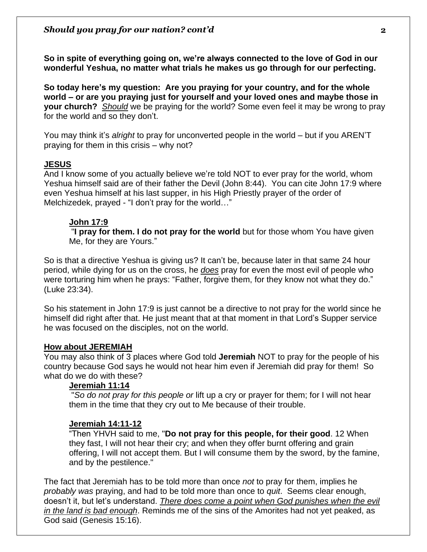**So in spite of everything going on, we're always connected to the love of God in our wonderful Yeshua, no matter what trials he makes us go through for our perfecting.** 

**So today here's my question: Are you praying for your country, and for the whole world – or are you praying just for yourself and your loved ones and maybe those in your church?** *Should* we be praying for the world? Some even feel it may be wrong to pray for the world and so they don't.

You may think it's *alright* to pray for unconverted people in the world – but if you AREN'T praying for them in this crisis – why not?

#### **JESUS**

And I know some of you actually believe we're told NOT to ever pray for the world, whom Yeshua himself said are of their father the Devil (John 8:44). You can cite John 17:9 where even Yeshua himself at his last supper, in his High Priestly prayer of the order of Melchizedek, prayed - "I don't pray for the world…"

#### **John 17:9**

"**I pray for them. I do not pray for the world** but for those whom You have given Me, for they are Yours."

So is that a directive Yeshua is giving us? It can't be, because later in that same 24 hour period, while dying for us on the cross, he *does* pray for even the most evil of people who were torturing him when he prays: "Father, forgive them, for they know not what they do." (Luke 23:34).

So his statement in John 17:9 is just cannot be a directive to not pray for the world since he himself did right after that. He just meant that at that moment in that Lord's Supper service he was focused on the disciples, not on the world.

#### **How about JEREMIAH**

You may also think of 3 places where God told **Jeremiah** NOT to pray for the people of his country because God says he would not hear him even if Jeremiah did pray for them! So what do we do with these?

#### **Jeremiah 11:14**

"*So do not pray for this people or* lift up a cry or prayer for them; for I will not hear them in the time that they cry out to Me because of their trouble.

#### **Jeremiah 14:11-12**

"Then YHVH said to me, "**Do not pray for this people, for their good**. 12 When they fast, I will not hear their cry; and when they offer burnt offering and grain offering, I will not accept them. But I will consume them by the sword, by the famine, and by the pestilence."

The fact that Jeremiah has to be told more than once *not* to pray for them, implies he *probably was* praying, and had to be told more than once to *quit*. Seems clear enough, doesn't it, but let's understand. *There does come a point when God punishes when the evil in the land is bad enough*. Reminds me of the sins of the Amorites had not yet peaked, as God said (Genesis 15:16).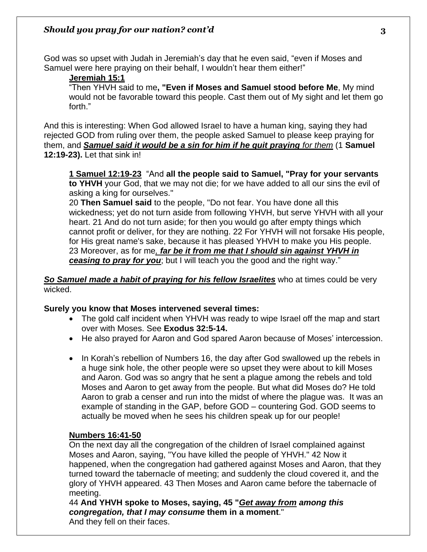God was so upset with Judah in Jeremiah's day that he even said, "even if Moses and Samuel were here praying on their behalf, I wouldn't hear them either!"

#### **Jeremiah 15:1**

"Then YHVH said to me**, "Even if Moses and Samuel stood before Me**, My mind would not be favorable toward this people. Cast them out of My sight and let them go forth."

And this is interesting: When God allowed Israel to have a human king, saying they had rejected GOD from ruling over them, the people asked Samuel to please keep praying for them, and *Samuel said it would be a sin for him if he quit praying for them* (1 **Samuel 12:19-23).** Let that sink in!

**1 Samuel 12:19-23** "And **all the people said to Samuel, "Pray for your servants to YHVH** your God, that we may not die; for we have added to all our sins the evil of asking a king for ourselves."

20 **Then Samuel said** to the people, "Do not fear. You have done all this wickedness; yet do not turn aside from following YHVH, but serve YHVH with all your heart. 21 And do not turn aside; for then you would go after empty things which cannot profit or deliver, for they are nothing. 22 For YHVH will not forsake His people, for His great name's sake, because it has pleased YHVH to make you His people. 23 Moreover, as for me*, far be it from me that I should sin against YHVH in* **ceasing to pray for you**; but I will teach you the good and the right way."

#### *So Samuel made a habit of praying for his fellow Israelites* who at times could be very wicked.

### **Surely you know that Moses intervened several times:**

- The gold calf incident when YHVH was ready to wipe Israel off the map and start over with Moses. See **Exodus 32:5-14.**
- He also prayed for Aaron and God spared Aaron because of Moses' intercession.
- In Korah's rebellion of Numbers 16, the day after God swallowed up the rebels in a huge sink hole, the other people were so upset they were about to kill Moses and Aaron. God was so angry that he sent a plague among the rebels and told Moses and Aaron to get away from the people. But what did Moses do? He told Aaron to grab a censer and run into the midst of where the plague was. It was an example of standing in the GAP, before GOD – countering God. GOD seems to actually be moved when he sees his children speak up for our people!

#### **Numbers 16:41-50**

On the next day all the congregation of the children of Israel complained against Moses and Aaron, saying, "You have killed the people of YHVH." 42 Now it happened, when the congregation had gathered against Moses and Aaron, that they turned toward the tabernacle of meeting; and suddenly the cloud covered it, and the glory of YHVH appeared. 43 Then Moses and Aaron came before the tabernacle of meeting.

44 **And YHVH spoke to Moses, saying, 45 "***Get away from among this congregation, that I may consume* **them in a moment**."

And they fell on their faces.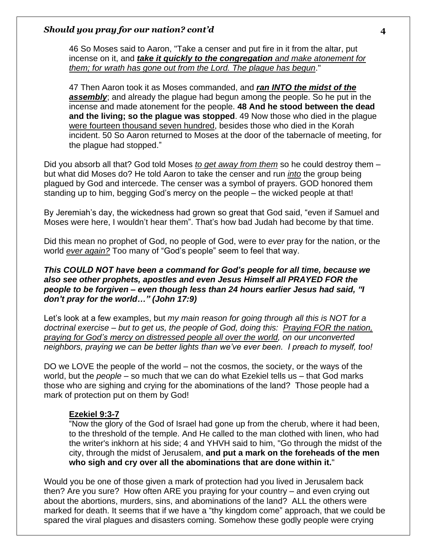46 So Moses said to Aaron, "Take a censer and put fire in it from the altar, put incense on it, and *take it quickly to the congregation and make atonement for them; for wrath has gone out from the Lord. The plague has begun*."

47 Then Aaron took it as Moses commanded, and *ran INTO the midst of the assembly*; and already the plague had begun among the people. So he put in the incense and made atonement for the people. **48 And he stood between the dead and the living; so the plague was stopped**. 49 Now those who died in the plague were fourteen thousand seven hundred, besides those who died in the Korah incident. 50 So Aaron returned to Moses at the door of the tabernacle of meeting, for the plague had stopped."

Did you absorb all that? God told Moses *to get away from them* so he could destroy them – but what did Moses do? He told Aaron to take the censer and run *into* the group being plagued by God and intercede. The censer was a symbol of prayers. GOD honored them standing up to him, begging God's mercy on the people – the wicked people at that!

By Jeremiah's day, the wickedness had grown so great that God said, "even if Samuel and Moses were here, I wouldn't hear them". That's how bad Judah had become by that time.

Did this mean no prophet of God, no people of God, were to *ever* pray for the nation, or the world *ever again?* Too many of "God's people" seem to feel that way.

#### *This COULD NOT have been a command for God's people for all time, because we also see other prophets, apostles and even Jesus Himself all PRAYED FOR the people to be forgiven – even though less than 24 hours earlier Jesus had said, "I don't pray for the world…" (John 17:9)*

Let's look at a few examples, but *my main reason for going through all this is NOT for a doctrinal exercise – but to get us, the people of God, doing this: Praying FOR the nation, praying for God's mercy on distressed people all over the world, on our unconverted neighbors, praying we can be better lights than we've ever been. I preach to myself, too!*

DO we LOVE the people of the world – not the cosmos, the society, or the ways of the world, but the *people* – so much that we can do what Ezekiel tells us – that God marks those who are sighing and crying for the abominations of the land? Those people had a mark of protection put on them by God!

### **Ezekiel 9:3-7**

"Now the glory of the God of Israel had gone up from the cherub, where it had been, to the threshold of the temple. And He called to the man clothed with linen, who had the writer's inkhorn at his side; 4 and YHVH said to him, "Go through the midst of the city, through the midst of Jerusalem, **and put a mark on the foreheads of the men who sigh and cry over all the abominations that are done within it.**"

Would you be one of those given a mark of protection had you lived in Jerusalem back then? Are you sure? How often ARE you praying for your country – and even crying out about the abortions, murders, sins, and abominations of the land? ALL the others were marked for death. It seems that if we have a "thy kingdom come" approach, that we could be spared the viral plagues and disasters coming. Somehow these godly people were crying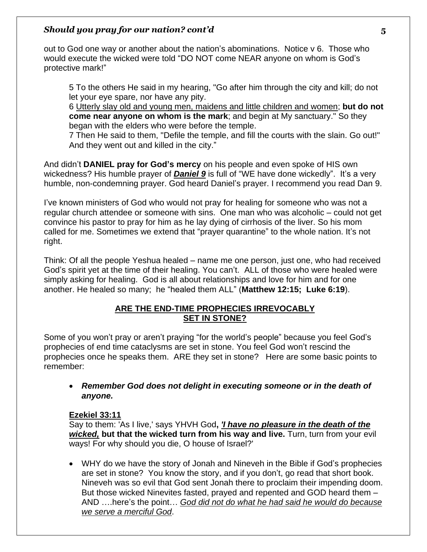out to God one way or another about the nation's abominations. Notice v 6. Those who would execute the wicked were told "DO NOT come NEAR anyone on whom is God's protective mark!"

5 To the others He said in my hearing, "Go after him through the city and kill; do not let your eye spare, nor have any pity.

6 Utterly slay old and young men, maidens and little children and women; **but do not come near anyone on whom is the mark**; and begin at My sanctuary." So they began with the elders who were before the temple.

7 Then He said to them, "Defile the temple, and fill the courts with the slain. Go out!" And they went out and killed in the city."

And didn't **DANIEL pray for God's mercy** on his people and even spoke of HIS own wickedness? His humble prayer of *Daniel 9* is full of "WE have done wickedly". It's a very humble, non-condemning prayer. God heard Daniel's prayer. I recommend you read Dan 9.

I've known ministers of God who would not pray for healing for someone who was not a regular church attendee or someone with sins. One man who was alcoholic – could not get convince his pastor to pray for him as he lay dying of cirrhosis of the liver. So his mom called for me. Sometimes we extend that "prayer quarantine" to the whole nation. It's not right.

Think: Of all the people Yeshua healed – name me one person, just one, who had received God's spirit yet at the time of their healing. You can't. ALL of those who were healed were simply asking for healing. God is all about relationships and love for him and for one another. He healed so many; he "healed them ALL" (**Matthew 12:15; Luke 6:19**).

## **ARE THE END-TIME PROPHECIES IRREVOCABLY SET IN STONE?**

Some of you won't pray or aren't praying "for the world's people" because you feel God's prophecies of end time cataclysms are set in stone. You feel God won't rescind the prophecies once he speaks them. ARE they set in stone? Here are some basic points to remember:

## • *Remember God does not delight in executing someone or in the death of anyone.*

### **Ezekiel 33:11**

Say to them: 'As I live,' says YHVH God**,** *'I have no pleasure in the death of the wicked,* **but that the wicked turn from his way and live.** Turn, turn from your evil ways! For why should you die, O house of Israel?'

• WHY do we have the story of Jonah and Nineveh in the Bible if God's prophecies are set in stone? You know the story, and if you don't, go read that short book. Nineveh was so evil that God sent Jonah there to proclaim their impending doom. But those wicked Ninevites fasted, prayed and repented and GOD heard them – AND ….here's the point… *God did not do what he had said he would do because we serve a merciful God*.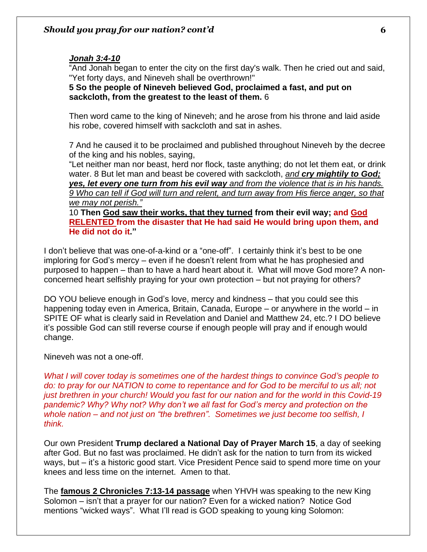## *Jonah 3:4-10*

"And Jonah began to enter the city on the first day's walk. Then he cried out and said, "Yet forty days, and Nineveh shall be overthrown!"

**5 So the people of Nineveh believed God, proclaimed a fast, and put on sackcloth, from the greatest to the least of them.** 6

Then word came to the king of Nineveh; and he arose from his throne and laid aside his robe, covered himself with sackcloth and sat in ashes.

7 And he caused it to be proclaimed and published throughout Nineveh by the decree of the king and his nobles, saying,

"Let neither man nor beast, herd nor flock, taste anything; do not let them eat, or drink water. 8 But let man and beast be covered with sackcloth, *and cry mightily to God; yes, let every one turn from his evil way and from the violence that is in his hands. 9 Who can tell if God will turn and relent, and turn away from His fierce anger, so that we may not perish."*

10 **Then God saw their works, that they turned from their evil way; and God RELENTED from the disaster that He had said He would bring upon them, and He did not do it."**

I don't believe that was one-of-a-kind or a "one-off". I certainly think it's best to be one imploring for God's mercy – even if he doesn't relent from what he has prophesied and purposed to happen – than to have a hard heart about it. What will move God more? A nonconcerned heart selfishly praying for your own protection – but not praying for others?

DO YOU believe enough in God's love, mercy and kindness – that you could see this happening today even in America, Britain, Canada, Europe – or anywhere in the world – in SPITE OF what is clearly said in Revelation and Daniel and Matthew 24, etc.? I DO believe it's possible God can still reverse course if enough people will pray and if enough would change.

Nineveh was not a one-off.

*What I will cover today is sometimes one of the hardest things to convince God's people to do: to pray for our NATION to come to repentance and for God to be merciful to us all; not just brethren in your church! Would you fast for our nation and for the world in this Covid-19 pandemic? Why? Why not? Why don't we all fast for God's mercy and protection on the whole nation – and not just on "the brethren". Sometimes we just become too selfish, I think.*

Our own President **Trump declared a National Day of Prayer March 15**, a day of seeking after God. But no fast was proclaimed. He didn't ask for the nation to turn from its wicked ways, but – it's a historic good start. Vice President Pence said to spend more time on your knees and less time on the internet. Amen to that.

The **famous 2 Chronicles 7:13-14 passage** when YHVH was speaking to the new King Solomon – isn't that a prayer for our nation? Even for a wicked nation? Notice God mentions "wicked ways". What I'll read is GOD speaking to young king Solomon: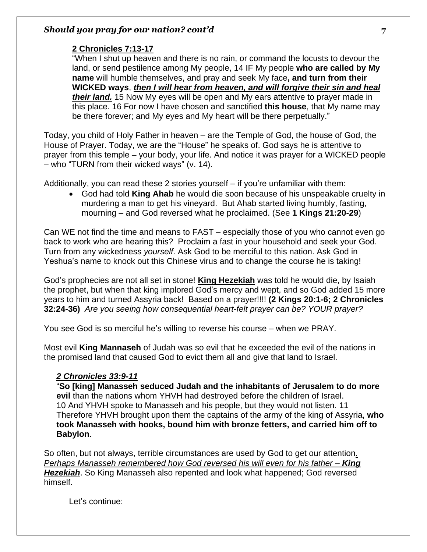## **2 Chronicles 7:13-17**

"When I shut up heaven and there is no rain, or command the locusts to devour the land, or send pestilence among My people, 14 IF My people **who are called by My name** will humble themselves, and pray and seek My face**, and turn from their WICKED ways**, *then I will hear from heaven, and will forgive their sin and heal their land.* 15 Now My eyes will be open and My ears attentive to prayer made in this place. 16 For now I have chosen and sanctified **this house**, that My name may be there forever; and My eyes and My heart will be there perpetually."

Today, you child of Holy Father in heaven – are the Temple of God, the house of God, the House of Prayer. Today, we are the "House" he speaks of. God says he is attentive to prayer from this temple – your body, your life. And notice it was prayer for a WICKED people – who "TURN from their wicked ways" (v. 14).

Additionally, you can read these 2 stories yourself – if you're unfamiliar with them:

• God had told **King Ahab** he would die soon because of his unspeakable cruelty in murdering a man to get his vineyard. But Ahab started living humbly, fasting, mourning – and God reversed what he proclaimed. (See **1 Kings 21:20-29**)

Can WE not find the time and means to FAST – especially those of you who cannot even go back to work who are hearing this? Proclaim a fast in your household and seek your God. Turn from any wickedness *yourself*. Ask God to be merciful to this nation. Ask God in Yeshua's name to knock out this Chinese virus and to change the course he is taking!

God's prophecies are not all set in stone! **King Hezekiah** was told he would die, by Isaiah the prophet, but when that king implored God's mercy and wept, and so God added 15 more years to him and turned Assyria back! Based on a prayer!!!! **(2 Kings 20:1-6; 2 Chronicles 32:24-36)** *Are you seeing how consequential heart-felt prayer can be? YOUR prayer?* 

You see God is so merciful he's willing to reverse his course – when we PRAY.

Most evil **King Mannaseh** of Judah was so evil that he exceeded the evil of the nations in the promised land that caused God to evict them all and give that land to Israel.

# *2 Chronicles 33:9-11*

"**So [king] Manasseh seduced Judah and the inhabitants of Jerusalem to do more evil** than the nations whom YHVH had destroyed before the children of Israel. 10 And YHVH spoke to Manasseh and his people, but they would not listen. 11 Therefore YHVH brought upon them the captains of the army of the king of Assyria, **who took Manasseh with hooks, bound him with bronze fetters, and carried him off to Babylon**.

So often, but not always, terrible circumstances are used by God to get our attention*. Perhaps Manasseh remembered how God reversed his will even for his father – King Hezekiah*. So King Manasseh also repented and look what happened; God reversed himself.

Let's continue: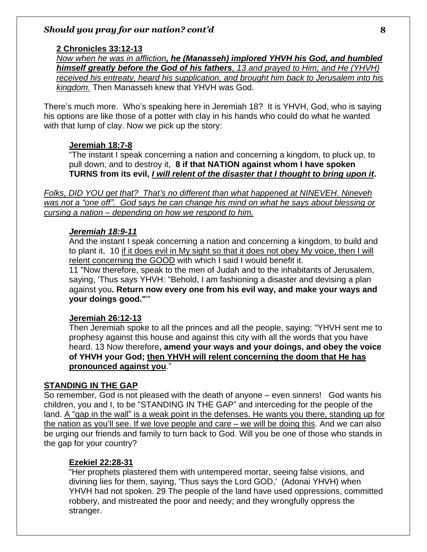#### **2 Chronicles 33:12-13**

*Now when he was in affliction, he (Manasseh) implored YHVH his God, and humbled himself greatly before the God of his fathers, 13 and prayed to Him; and He (YHVH) received his entreaty, heard his supplication, and brought him back to Jerusalem into his kingdom.* Then Manasseh knew that YHVH was God.

There's much more. Who's speaking here in Jeremiah 18? It is YHVH, God, who is saying his options are like those of a potter with clay in his hands who could do what he wanted with that lump of clay. Now we pick up the story:

#### **Jeremiah 18:7-8**

"The instant I speak concerning a nation and concerning a kingdom, to pluck up, to pull down, and to destroy it, **8 if that NATION against whom I have spoken TURNS from its evil,** *I will relent of the disaster that I thought to bring upon it***.**

*Folks, DID YOU get that? That's no different than what happened at NINEVEH. Nineveh was not a "one off". God says he can change his mind on what he says about blessing or cursing a nation – depending on how we respond to him.* 

#### *Jeremiah 18:9-11*

And the instant I speak concerning a nation and concerning a kingdom, to build and to plant it, 10 if it does evil in My sight so that it does not obey My voice, then I will relent concerning the GOOD with which I said I would benefit it.

11 "Now therefore, speak to the men of Judah and to the inhabitants of Jerusalem, saying, 'Thus says YHVH: "Behold, I am fashioning a disaster and devising a plan against you**. Return now every one from his evil way, and make your ways and your doings good."**'"

#### **Jeremiah 26:12-13**

Then Jeremiah spoke to all the princes and all the people, saying: "YHVH sent me to prophesy against this house and against this city with all the words that you have heard. 13 Now therefore**, amend your ways and your doings, and obey the voice of YHVH your God; then YHVH will relent concerning the doom that He has pronounced against you**."

### **STANDING IN THE GAP**

So remember, God is not pleased with the death of anyone – even sinners! God wants his children, you and I, to be "STANDING IN THE GAP" and interceding for the people of the land. A "gap in the wall" is a weak point in the defenses. He wants you there, standing up for the nation as you'll see. If we love people and care – we will be doing this. And we can also be urging our friends and family to turn back to God. Will you be one of those who stands in the gap for your country?

#### **Ezekiel 22:28-31**

"Her prophets plastered them with untempered mortar, seeing false visions, and divining lies for them, saying, 'Thus says the Lord GOD,' (Adonai YHVH) when YHVH had not spoken. 29 The people of the land have used oppressions, committed robbery, and mistreated the poor and needy; and they wrongfully oppress the stranger.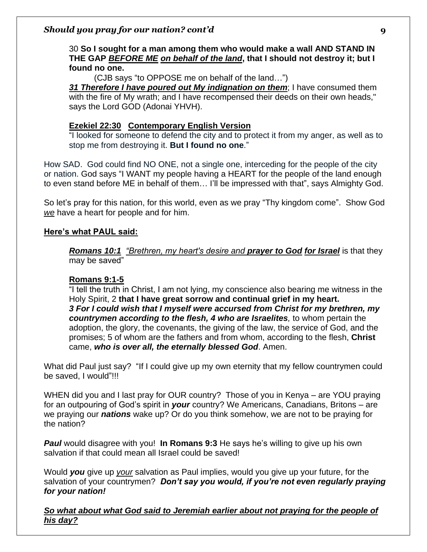## 30 **So I sought for a man among them who would make a wall AND STAND IN THE GAP** *BEFORE ME on behalf of the land***, that I should not destroy it; but I found no one.**

(CJB says "to OPPOSE me on behalf of the land…")

*31 Therefore I have poured out My indignation on them*; I have consumed them with the fire of My wrath; and I have recompensed their deeds on their own heads," says the Lord GOD (Adonai YHVH).

## **Ezekiel 22:30 [Contemporary English Version](https://biblehub.com/cev/ezekiel/22.htm)**

"I looked for someone to defend the city and to protect it from my anger, as well as to stop me from destroying it. **But I found no one**."

How SAD. God could find NO ONE, not a single one, interceding for the people of the city or nation. God says "I WANT my people having a HEART for the people of the land enough to even stand before ME in behalf of them… I'll be impressed with that", says Almighty God.

So let's pray for this nation, for this world, even as we pray "Thy kingdom come". Show God *we* have a heart for people and for him.

## **Here's what PAUL said:**

*Romans 10:1 "Brethren, my heart's desire and prayer to God for Israel* is that they may be saved"

## **Romans 9:1-5**

"I tell the truth in Christ, I am not lying, my conscience also bearing me witness in the Holy Spirit, 2 **that I have great sorrow and continual grief in my heart.**  *3 For I could wish that I myself were accursed from Christ for my brethren, my countrymen according to the flesh, 4 who are Israelites,* to whom pertain the adoption, the glory, the covenants, the giving of the law, the service of God, and the promises; 5 of whom are the fathers and from whom, according to the flesh, **Christ** came, *who is over all, the eternally blessed God*. Amen.

What did Paul just say? "If I could give up my own eternity that my fellow countrymen could be saved, I would"!!!

WHEN did you and I last pray for OUR country? Those of you in Kenya – are YOU praying for an outpouring of God's spirit in *your* country? We Americans, Canadians, Britons – are we praying our *nations* wake up? Or do you think somehow, we are not to be praying for the nation?

*Paul* would disagree with you! **In Romans 9:3** He says he's willing to give up his own salvation if that could mean all Israel could be saved!

Would *you* give up *your* salvation as Paul implies, would you give up your future, for the salvation of your countrymen? *Don't say you would, if you're not even regularly praying for your nation!*

*So what about what God said to Jeremiah earlier about not praying for the people of his day?*